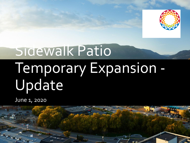

# Sidewalk Patio Temporary Expansion - Update

June 1, 2020

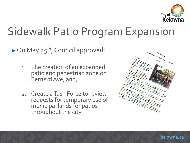

#### Sidewalk Patio Program Expansion

 $\triangleright$  On May 25<sup>th</sup>, Council approved:

- 1. The creation of an expanded patio and pedestrian zone on Bernard Ave; and,
- 2. Create a Task Force to review requests for temporary use of municipal lands for patios throughout the city.

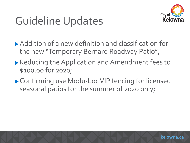

#### Guideline Updates

- Addition of a new definition and classification for the new "Temporary Bernard Roadway Patio",
- ▶ Reducing the Application and Amendment fees to \$100.00 for 2020;
- ▶ Confirming use Modu-Loc VIP fencing for licensed seasonal patios for the summer of 2020 only;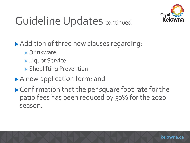

## Guideline Updates continued

▶ Addition of three new clauses regarding:

- **Drinkware**
- **Liquor Service**
- Shoplifting Prevention
- A new application form; and
- ▶ Confirmation that the per square foot rate for the patio fees has been reduced by 50% for the 2020 season.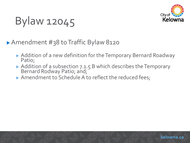

### Bylaw 12045

▶ Amendment #38 to Traffic Bylaw 8120

- ▶ Addition of a new definition for the Temporary Bernard Roadway Patio;
- Addition of a subsection 7.1.5 B which describes the Temporary Bernard Rodway Patio; and;
- Amendment to Schedule A to reflect the reduced fees;